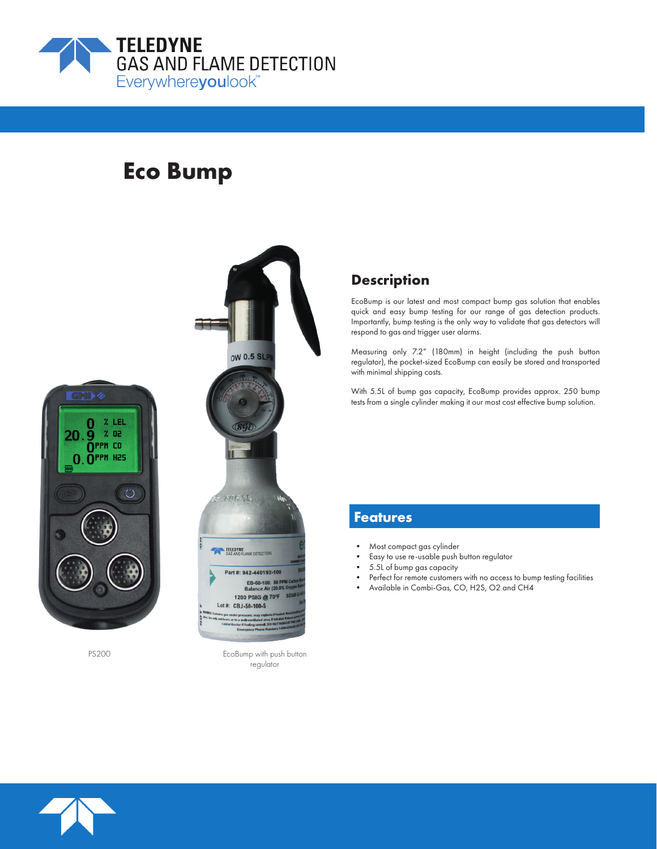

# **Eco Bump**





PS200 EcoBump with push button regulator

### **Description**

EcoBump is our latest and most compact bump gas solution that enables quick and easy bump testing for our range of gas detection products. Importantly, bump testing is the only way to validate that gas detectors will respond to gas and trigger user alarms.

Measuring only 7.2" (180mm) in height (including the push button regulator), the pocket-sized EcoBump can easily be stored and transported with minimal shipping costs.

With 5.5L of bump gas capacity, EcoBump provides approx. 250 bump tests from a single cylinder making it our most cost effective bump solution.

### **Features**

- Most compact gas cylinder
- Easy to use re-usable push button regulator
- 5.5L of bump gas capacity
- Perfect for remote customers with no access to bump testing facilities
- Available in Combi-Gas, CO, H2S, O2 and CH4